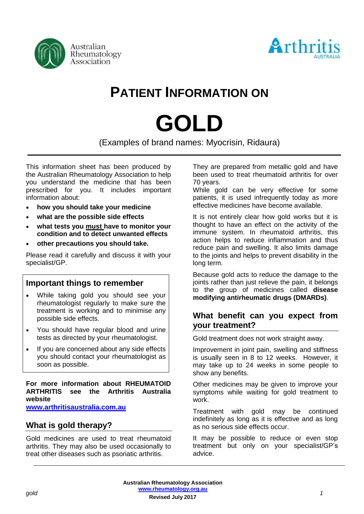



# **PATIENT INFORMATION ON**

# **GOLD**

(Examples of brand names: Myocrisin, Ridaura)

This information sheet has been produced by the Australian Rheumatology Association to help you understand the medicine that has been prescribed for you. It includes important information about:

- **how you should take your medicine**
- **what are the possible side effects**
- **what tests you must have to monitor your condition and to detect unwanted effects**
- **other precautions you should take.**

Please read it carefully and discuss it with your specialist/GP.

#### **Important things to remember**

- While taking gold you should see your rheumatologist regularly to make sure the treatment is working and to minimise any possible side effects.
- You should have regular blood and urine tests as directed by your rheumatologist.
- If you are concerned about any side effects you should contact your rheumatologist as soon as possible.

**For more information about RHEUMATOID ARTHRITIS see the Arthritis Australia website** 

**[www.arthritisaustralia.com.au](http://www.arthritisaustralia.com.au/)**

# **What is gold therapy?**

Gold medicines are used to treat rheumatoid arthritis. They may also be used occasionally to treat other diseases such as psoriatic arthritis.

They are prepared from metallic gold and have been used to treat rheumatoid arthritis for over 70 years.

While gold can be very effective for some patients, it is used infrequently today as more effective medicines have become available.

It is not entirely clear how gold works but it is thought to have an effect on the activity of the immune system. In rheumatoid arthritis, this action helps to reduce inflammation and thus reduce pain and swelling. It also limits damage to the joints and helps to prevent disability in the long term.

Because gold acts to reduce the damage to the joints rather than just relieve the pain, it belongs to the group of medicines called **disease modifying antirheumatic drugs (DMARDs)**.

## **What benefit can you expect from your treatment?**

Gold treatment does not work straight away.

Improvement in joint pain, swelling and stiffness is usually seen in 8 to 12 weeks. However, it may take up to 24 weeks in some people to show any benefits.

Other medicines may be given to improve your symptoms while waiting for gold treatment to work.

Treatment with gold may be continued indefinitely as long as it is effective and as long as no serious side effects occur.

It may be possible to reduce or even stop treatment but only on your specialist/GP's advice.

**Australian Rheumatology Association [www.rheumatology.org.au](http://www.rheumatology.org.au/)** *gold 1*

**Revised July 2017**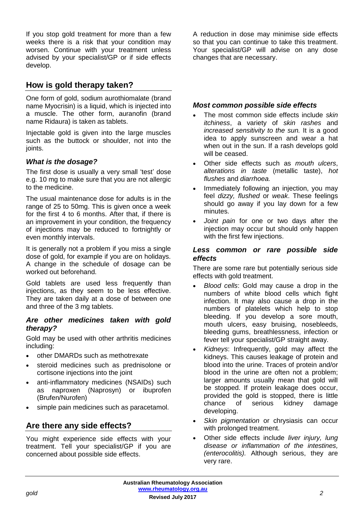If you stop gold treatment for more than a few weeks there is a risk that your condition may worsen. Continue with your treatment unless advised by your specialist/GP or if side effects develop.

# **How is gold therapy taken?**

One form of gold, sodium aurothiomalate (brand name Myocrisin) is a liquid, which is injected into a muscle. The other form, auranofin (brand name Ridaura) is taken as tablets.

Injectable gold is given into the large muscles such as the buttock or shoulder, not into the ioints.

#### *What is the dosage?*

The first dose is usually a very small 'test' dose e.g. 10 mg to make sure that you are not allergic to the medicine.

The usual maintenance dose for adults is in the range of 25 to 50mg. This is given once a week for the first 4 to 6 months. After that, if there is an improvement in your condition, the frequency of injections may be reduced to fortnightly or even monthly intervals.

It is generally not a problem if you miss a single dose of gold, for example if you are on holidays. A change in the schedule of dosage can be worked out beforehand.

Gold tablets are used less frequently than injections, as they seem to be less effective. They are taken daily at a dose of between one and three of the 3 mg tablets.

#### *Are other medicines taken with gold therapy?*

Gold may be used with other arthritis medicines including:

- other DMARDs such as methotrexate
- steroid medicines such as prednisolone or cortisone injections into the joint
- anti-inflammatory medicines (NSAIDs) such as naproxen (Naprosyn) or ibuprofen (Brufen/Nurofen)
- simple pain medicines such as paracetamol.

# **Are there any side effects?**

You might experience side effects with your treatment. Tell your specialist/GP if you are concerned about possible side effects.

A reduction in dose may minimise side effects so that you can continue to take this treatment. Your specialist/GP will advise on any dose changes that are necessary.

#### *Most common possible side effects*

- The most common side effects include *skin itchiness*, a variety of *skin rashes* and *increased sensitivity to the sun.* It is a good idea to apply sunscreen and wear a hat when out in the sun. If a rash develops gold will be ceased.
- Other side effects such as *mouth ulcers*, *alterations in taste* (metallic taste), *hot flushes* and *diarrhoea.*
- Immediately following an injection, you may feel *dizzy, flushed* or *weak*. These feelings should go away if you lay down for a few minutes.
- *Joint pain* for one or two days after the injection may occur but should only happen with the first few injections.

#### *Less common or rare possible side effects*

There are some rare but potentially serious side effects with gold treatment.

- *Blood cells*: Gold may cause a drop in the numbers of white blood cells which fight infection. It may also cause a drop in the numbers of platelets which help to stop bleeding. If you develop a sore mouth, mouth ulcers, easy bruising, nosebleeds, bleeding gums, breathlessness, infection or fever tell your specialist/GP straight away.
- *Kidneys*: Infrequently, gold may affect the kidneys. This causes leakage of protein and blood into the urine. Traces of protein and/or blood in the urine are often not a problem; larger amounts usually mean that gold will be stopped. If protein leakage does occur, provided the gold is stopped, there is little chance of serious kidney damage developing.
- *Skin pigmentation* or [chrysiasis](http://dermnetnz.org/reactions/chrysiasis.html) can occur with prolonged treatment.
- Other side effects include *liver injury, lung disease or inflammation of the intestines, (enterocolitis).* Although serious, they are very rare.